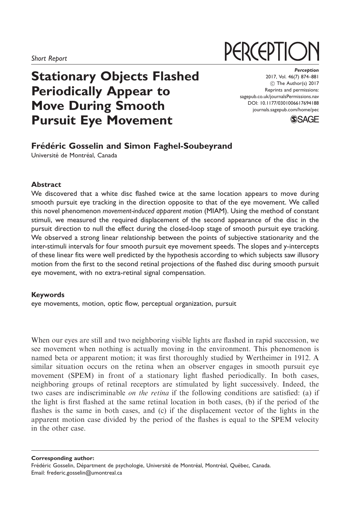# Stationary Objects Flashed Periodically Appear to Move During Smooth Pursuit Eye Movement

#### **Perception** 2017, Vol. 46(7) 874–881 (C) The Author(s) 2017 Reprints and permissions: [sagepub.co.uk/journalsPermissions.nav](https://uk.sagepub.com/en-gb/journals-permissions) DOI: [10.1177/0301006617694188](https://doi.org/10.1177/0301006617694188) <journals.sagepub.com/home/pec>

**PERCEPTIC** 



# Frédéric Gosselin and Simon Faghel-Soubeyrand

Université de Montréal, Canada

### Abstract

We discovered that a white disc flashed twice at the same location appears to move during smooth pursuit eye tracking in the direction opposite to that of the eye movement. We called this novel phenomenon movement-induced apparent motion (MIAM). Using the method of constant stimuli, we measured the required displacement of the second appearance of the disc in the pursuit direction to null the effect during the closed-loop stage of smooth pursuit eye tracking. We observed a strong linear relationship between the points of subjective stationarity and the inter-stimuli intervals for four smooth pursuit eye movement speeds. The slopes and y-intercepts of these linear fits were well predicted by the hypothesis according to which subjects saw illusory motion from the first to the second retinal projections of the flashed disc during smooth pursuit eye movement, with no extra-retinal signal compensation.

### Keywords

eye movements, motion, optic flow, perceptual organization, pursuit

When our eyes are still and two neighboring visible lights are flashed in rapid succession, we see movement when nothing is actually moving in the environment. This phenomenon is named beta or apparent motion; it was first thoroughly studied by Wertheimer in 1912. A similar situation occurs on the retina when an observer engages in smooth pursuit eye movement (SPEM) in front of a stationary light flashed periodically. In both cases, neighboring groups of retinal receptors are stimulated by light successively. Indeed, the two cases are indiscriminable on the retina if the following conditions are satisfied: (a) if the light is first flashed at the same retinal location in both cases, (b) if the period of the flashes is the same in both cases, and (c) if the displacement vector of the lights in the apparent motion case divided by the period of the flashes is equal to the SPEM velocity in the other case.

Corresponding author:

Frédéric Gosselin, Départment de psychologie, Université de Montréal, Montréal, Québec, Canada. Email: frederic.gosselin@umontreal.ca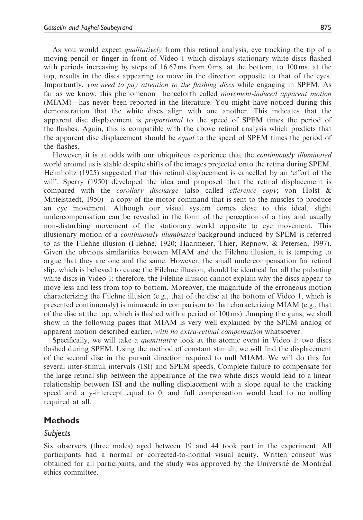As you would expect *qualitatively* from this retinal analysis, eye tracking the tip of a moving pencil or finger in front of Video 1 which displays stationary white discs flashed with periods increasing by steps of 16.67 ms from 0 ms, at the bottom, to 100 ms, at the top, results in the discs appearing to move in the direction opposite to that of the eyes. Importantly, you need to pay attention to the flashing discs while engaging in SPEM. As far as we know, this phenomenon—henceforth called movement-induced apparent motion (MIAM)—has never been reported in the literature. You might have noticed during this demonstration that the white discs align with one another. This indicates that the apparent disc displacement is proportional to the speed of SPEM times the period of the flashes. Again, this is compatible with the above retinal analysis which predicts that the apparent disc displacement should be *equal* to the speed of SPEM times the period of the flashes.

However, it is at odds with our ubiquitous experience that the *continuously illuminated* world around us is stable despite shifts of the images projected onto the retina during SPEM. Helmholtz (1925) suggested that this retinal displacement is cancelled by an 'effort of the will'. Sperry (1950) developed the idea and proposed that the retinal displacement is compared with the *corollary discharge* (also called *efference copy*; von Holst & Mittelstaedt, 1950)—a copy of the motor command that is sent to the muscles to produce an eye movement. Although our visual system comes close to this ideal, slight undercompensation can be revealed in the form of the perception of a tiny and usually non-disturbing movement of the stationary world opposite to eye movement. This illusionary motion of a *continuously illuminated* background induced by SPEM is referred to as the Filehne illusion (Filehne, 1920; Haarmeier, Thier, Repnow, & Petersen, 1997). Given the obvious similarities between MIAM and the Filehne illusion, it is tempting to argue that they are one and the same. However, the small undercompensation for retinal slip, which is believed to cause the Filehne illusion, should be identical for all the pulsating white discs in Video 1; therefore, the Filehne illusion cannot explain why the discs appear to move less and less from top to bottom. Moreover, the magnitude of the erroneous motion characterizing the Filehne illusion (e.g., that of the disc at the bottom of Video 1, which is presented continuously) is minuscule in comparison to that characterizing MIAM (e.g., that of the disc at the top, which is flashed with a period of 100 ms). Jumping the guns, we shall show in the following pages that MIAM is very well explained by the SPEM analog of apparent motion described earlier, with no extra-retinal compensation whatsoever.

Specifically, we will take a *quantitative* look at the atomic event in Video 1: two discs flashed during SPEM. Using the method of constant stimuli, we will find the displacement of the second disc in the pursuit direction required to null MIAM. We will do this for several inter-stimuli intervals (ISI) and SPEM speeds. Complete failure to compensate for the large retinal slip between the appearance of the two white discs would lead to a linear relationship between ISI and the nulling displacement with a slope equal to the tracking speed and a y-intercept equal to 0; and full compensation would lead to no nulling required at all.

### Methods

### Subjects

Six observers (three males) aged between 19 and 44 took part in the experiment. All participants had a normal or corrected-to-normal visual acuity. Written consent was obtained for all participants, and the study was approved by the Université de Montréal ethics committee.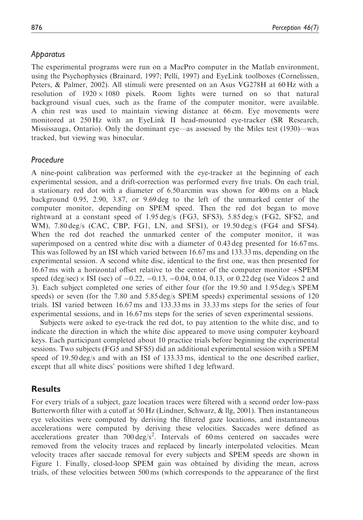# Apparatus

The experimental programs were run on a MacPro computer in the Matlab environment, using the Psychophysics (Brainard, 1997; Pelli, 1997) and EyeLink toolboxes (Cornelissen, Peters, & Palmer, 2002). All stimuli were presented on an Asus VG278H at 60 Hz with a resolution of  $1920 \times 1080$  pixels. Room lights were turned on so that natural background visual cues, such as the frame of the computer monitor, were available. A chin rest was used to maintain viewing distance at 66 cm. Eye movements were monitored at 250 Hz with an EyeLink II head-mounted eye-tracker (SR Research, Mississauga, Ontario). Only the dominant eye—as assessed by the Miles test (1930)—was tracked, but viewing was binocular.

# Procedure

A nine-point calibration was performed with the eye-tracker at the beginning of each experimental session, and a drift-correction was performed every five trials. On each trial, a stationary red dot with a diameter of 6.50 arcmin was shown for 400 ms on a black background 0.95, 2.90, 3.87, or 9.69 deg to the left of the unmarked center of the computer monitor, depending on SPEM speed. Then the red dot began to move rightward at a constant speed of 1.95 deg/s (FG3, SFS3), 5.85 deg/s (FG2, SFS2, and WM), 7.80 deg/s (CAC, CBP, FG1, LN, and SFS1), or 19.50 deg/s (FG4 and SFS4). When the red dot reached the unmarked center of the computer monitor, it was superimposed on a centred white disc with a diameter of 0.43 deg presented for 16.67 ms. This was followed by an ISI which varied between 16.67 ms and 133.33 ms, depending on the experimental session. A second white disc, identical to the first one, was then presented for  $16.67 \text{ ms}$  with a horizontal offset relative to the center of the computer monitor  $+$ SPEM speed  $(\text{deg/sec}) \times \text{ISI}$  (sec) of  $-0.22$ ,  $-0.13$ ,  $-0.04$ , 0.04, 0.13, or 0.22 deg (see Videos 2 and 3). Each subject completed one series of either four (for the 19.50 and 1.95 deg/s SPEM speeds) or seven (for the 7.80 and 5.85 deg/s SPEM speeds) experimental sessions of 120 trials. ISI varied between 16.67 ms and 133.33 ms in 33.33 ms steps for the series of four experimental sessions, and in 16.67 ms steps for the series of seven experimental sessions.

Subjects were asked to eye-track the red dot, to pay attention to the white disc, and to indicate the direction in which the white disc appeared to move using computer keyboard keys. Each participant completed about 10 practice trials before beginning the experimental sessions. Two subjects (FG5 and SFS5) did an additional experimental session with a SPEM speed of 19.50 deg/s and with an ISI of 133.33 ms, identical to the one described earlier, except that all white discs' positions were shifted 1 deg leftward.

# **Results**

For every trials of a subject, gaze location traces were filtered with a second order low-pass Butterworth filter with a cutoff at 50 Hz (Lindner, Schwarz,  $\&$  llg, 2001). Then instantaneous eye velocities were computed by deriving the filtered gaze locations, and instantaneous accelerations were computed by deriving these velocities. Saccades were defined as accelerations greater than  $700 \text{ deg/s}^2$ . Intervals of 60 ms centered on saccades were removed from the velocity traces and replaced by linearly interpolated velocities. Mean velocity traces after saccade removal for every subjects and SPEM speeds are shown in Figure 1. Finally, closed-loop SPEM gain was obtained by dividing the mean, across trials, of these velocities between 500 ms (which corresponds to the appearance of the first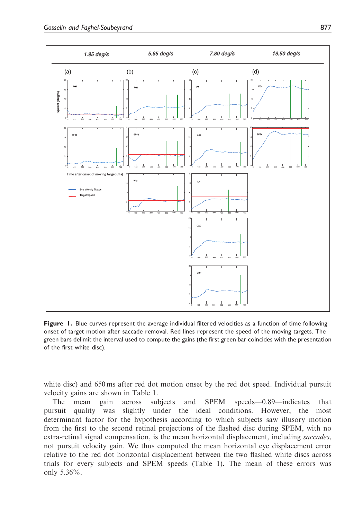

Figure 1. Blue curves represent the average individual filtered velocities as a function of time following onset of target motion after saccade removal. Red lines represent the speed of the moving targets. The green bars delimit the interval used to compute the gains (the first green bar coincides with the presentation of the first white disc).

white disc) and 650 ms after red dot motion onset by the red dot speed. Individual pursuit velocity gains are shown in Table 1.

The mean gain across subjects and SPEM speeds—0.89—indicates that pursuit quality was slightly under the ideal conditions. However, the most determinant factor for the hypothesis according to which subjects saw illusory motion from the first to the second retinal projections of the flashed disc during SPEM, with no extra-retinal signal compensation, is the mean horizontal displacement, including *saccades*, not pursuit velocity gain. We thus computed the mean horizontal eye displacement error relative to the red dot horizontal displacement between the two flashed white discs across trials for every subjects and SPEM speeds (Table 1). The mean of these errors was only 5.36%.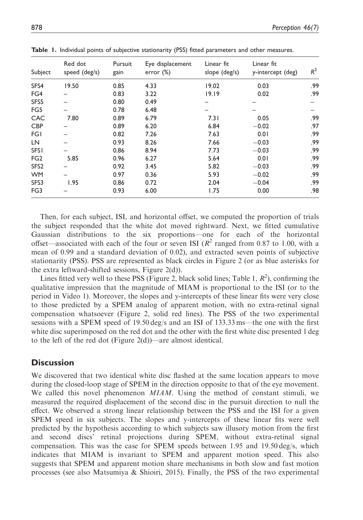| Subject          | Red dot<br>speed (deg/s) | Pursuit<br>gain | Eye displacement<br>error $(\%)$ | Linear fit<br>slope (deg/s) | Linear fit<br>y-intercept (deg) | $R^2$ |
|------------------|--------------------------|-----------------|----------------------------------|-----------------------------|---------------------------------|-------|
| SFS4             | 19.50                    | 0.85            | 4.33                             | 19.02                       | 0.03                            | .99   |
| FG4              |                          | 0.83            | 3.22                             | 19.19                       | 0.02                            | .99   |
| SFS5             |                          | 0.80            | 0.49                             | –                           |                                 |       |
| FG5              |                          | 0.78            | 6.48                             |                             |                                 |       |
| CAC              | 7.80                     | 0.89            | 6.79                             | 7.31                        | 0.05                            | .99   |
| <b>CBP</b>       |                          | 0.89            | 6.20                             | 6.84                        | $-0.02$                         | .97   |
| <b>FG1</b>       |                          | 0.82            | 7.26                             | 7.63                        | 0.01                            | .99   |
| LN               |                          | 0.93            | 8.26                             | 7.66                        | $-0.03$                         | .99   |
| <b>SFS1</b>      |                          | 0.86            | 8.94                             | 7.73                        | $-0.03$                         | .99   |
| FG <sub>2</sub>  | 5.85                     | 0.96            | 6.27                             | 5.64                        | 0.01                            | .99   |
| SFS <sub>2</sub> |                          | 0.92            | 3.45                             | 5.82                        | $-0.03$                         | .99   |
| <b>WM</b>        |                          | 0.97            | 0.36                             | 5.93                        | $-0.02$                         | .99   |
| SFS3             | 1.95                     | 0.86            | 0.72                             | 2.04                        | $-0.04$                         | .99   |
| FG <sub>3</sub>  |                          | 0.93            | 6.00                             | 1.75                        | 0.00                            | .98   |

**Table 1.** Individual points of subjective stationarity (PSS) fitted parameters and other measures.

Then, for each subject, ISI, and horizontal offset, we computed the proportion of trials the subject responded that the white dot moved rightward. Next, we fitted cumulative Gaussian distributions to the six proportions—one for each of the horizontal offset—associated with each of the four or seven ISI ( $R<sup>2</sup>$  ranged from 0.87 to 1.00, with a mean of 0.99 and a standard deviation of 0.02), and extracted seven points of subjective stationarity (PSS). PSS are represented as black circles in Figure 2 (or as blue asterisks for the extra leftward-shifted sessions, Figure 2(d)).

Lines fitted very well to these PSS (Figure 2, black solid lines; Table 1,  $R^2$ ), confirming the qualitative impression that the magnitude of MIAM is proportional to the ISI (or to the period in Video 1). Moreover, the slopes and y-intercepts of these linear fits were very close to those predicted by a SPEM analog of apparent motion, with no extra-retinal signal compensation whatsoever (Figure 2, solid red lines). The PSS of the two experimental sessions with a SPEM speed of 19.50 deg/s and an ISI of 133.33 ms—the one with the first white disc superimposed on the red dot and the other with the first white disc presented 1 deg to the left of the red dot (Figure 2(d))—are almost identical.

## **Discussion**

We discovered that two identical white disc flashed at the same location appears to move during the closed-loop stage of SPEM in the direction opposite to that of the eye movement. We called this novel phenomenon *MIAM*. Using the method of constant stimuli, we measured the required displacement of the second disc in the pursuit direction to null the effect. We observed a strong linear relationship between the PSS and the ISI for a given SPEM speed in six subjects. The slopes and y-intercepts of these linear fits were well predicted by the hypothesis according to which subjects saw illusory motion from the first and second discs' retinal projections during SPEM, without extra-retinal signal compensation. This was the case for SPEM speeds between 1.95 and 19.50 deg/s, which indicates that MIAM is invariant to SPEM and apparent motion speed. This also suggests that SPEM and apparent motion share mechanisms in both slow and fast motion processes (see also Matsumiya & Shioiri, 2015). Finally, the PSS of the two experimental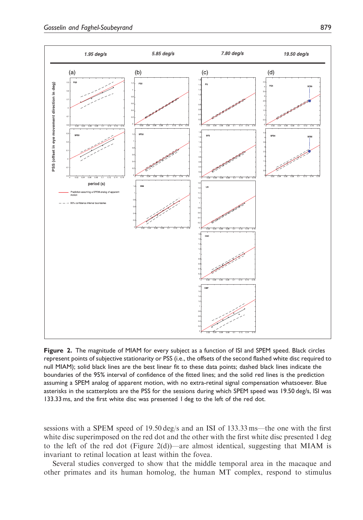

Figure 2. The magnitude of MIAM for every subject as a function of ISI and SPEM speed. Black circles represent points of subjective stationarity or PSS (i.e., the offsets of the second flashed white disc required to null MIAM); solid black lines are the best linear fit to these data points; dashed black lines indicate the boundaries of the 95% interval of confidence of the fitted lines; and the solid red lines is the prediction assuming a SPEM analog of apparent motion, with no extra-retinal signal compensation whatsoever. Blue asterisks in the scatterplots are the PSS for the sessions during which SPEM speed was 19.50 deg/s, ISI was 133.33 ms, and the first white disc was presented 1 deg to the left of the red dot.

sessions with a SPEM speed of 19.50 deg/s and an ISI of 133.33 ms—the one with the first white disc superimposed on the red dot and the other with the first white disc presented 1 deg to the left of the red dot (Figure 2(d))—are almost identical, suggesting that MIAM is invariant to retinal location at least within the fovea.

Several studies converged to show that the middle temporal area in the macaque and other primates and its human homolog, the human MT complex, respond to stimulus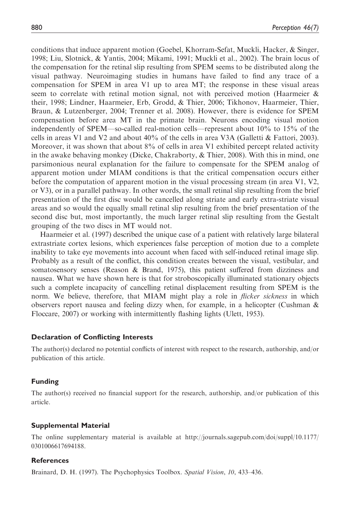conditions that induce apparent motion (Goebel, Khorram-Sefat, Muckli, Hacker, & Singer, 1998; Liu, Slotnick, & Yantis, 2004; Mikami, 1991; Muckli et al., 2002). The brain locus of the compensation for the retinal slip resulting from SPEM seems to be distributed along the visual pathway. Neuroimaging studies in humans have failed to find any trace of a compensation for SPEM in area V1 up to area MT; the response in these visual areas seem to correlate with retinal motion signal, not with perceived motion (Haarmeier & their, 1998; Lindner, Haarmeier, Erb, Grodd, & Thier, 2006; Tikhonov, Haarmeier, Thier, Braun, & Lutzenberger, 2004; Trenner et al. 2008). However, there is evidence for SPEM compensation before area MT in the primate brain. Neurons encoding visual motion independently of SPEM—so-called real-motion cells—represent about 10% to 15% of the cells in areas V1 and V2 and about 40% of the cells in area V3A (Galletti & Fattori, 2003). Moreover, it was shown that about 8% of cells in area V1 exhibited percept related activity in the awake behaving monkey (Dicke, Chakraborty,  $\&$  Thier, 2008). With this in mind, one parsimonious neural explanation for the failure to compensate for the SPEM analog of apparent motion under MIAM conditions is that the critical compensation occurs either before the computation of apparent motion in the visual processing stream (in area V1, V2, or V3), or in a parallel pathway. In other words, the small retinal slip resulting from the brief presentation of the first disc would be cancelled along striate and early extra-striate visual areas and so would the equally small retinal slip resulting from the brief presentation of the second disc but, most importantly, the much larger retinal slip resulting from the Gestalt grouping of the two discs in MT would not.

Haarmeier et al. (1997) described the unique case of a patient with relatively large bilateral extrastriate cortex lesions, which experiences false perception of motion due to a complete inability to take eye movements into account when faced with self-induced retinal image slip. Probably as a result of the conflict, this condition creates between the visual, vestibular, and somatosensory senses (Reason & Brand, 1975), this patient suffered from dizziness and nausea. What we have shown here is that for stroboscopically illuminated stationary objects such a complete incapacity of cancelling retinal displacement resulting from SPEM is the norm. We believe, therefore, that MIAM might play a role in *flicker sickness* in which observers report nausea and feeling dizzy when, for example, in a helicopter (Cushman & Floccare, 2007) or working with intermittently flashing lights (Ulett, 1953).

### Declaration of Conflicting Interests

The author(s) declared no potential conflicts of interest with respect to the research, authorship, and/or publication of this article.

### Funding

The author(s) received no financial support for the research, authorship, and/or publication of this article.

### Supplemental Material

The online supplementary material is available at [http://journals.sagepub.com/doi/suppl/10.1177/](http://journals.sagepub.com/doi/suppl/10.1177/0301006617694189) [0301006617694188](http://journals.sagepub.com/doi/suppl/10.1177/0301006617694189).

#### References

Brainard, D. H. (1997). The Psychophysics Toolbox. Spatial Vision, 10, 433-436.